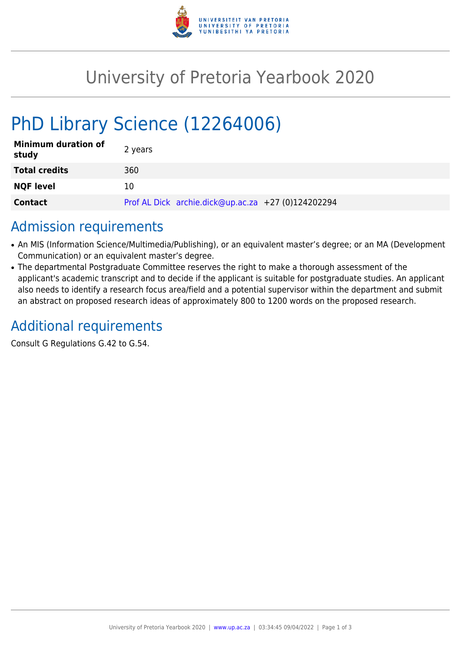

## University of Pretoria Yearbook 2020

# PhD Library Science (12264006)

| <b>Minimum duration of</b><br>study | 2 years                                            |
|-------------------------------------|----------------------------------------------------|
| <b>Total credits</b>                | 360                                                |
| <b>NQF level</b>                    | 10                                                 |
| <b>Contact</b>                      | Prof AL Dick archie.dick@up.ac.za +27 (0)124202294 |

#### Admission requirements

- An MIS (Information Science/Multimedia/Publishing), or an equivalent master's degree; or an MA (Development Communication) or an equivalent master's degree.
- The departmental Postgraduate Committee reserves the right to make a thorough assessment of the applicant's academic transcript and to decide if the applicant is suitable for postgraduate studies. An applicant also needs to identify a research focus area/field and a potential supervisor within the department and submit an abstract on proposed research ideas of approximately 800 to 1200 words on the proposed research.

## Additional requirements

Consult G Regulations G.42 to G.54.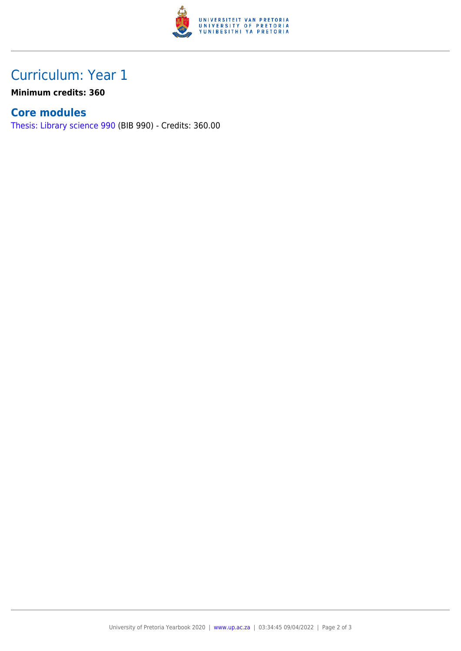

### Curriculum: Year 1

**Minimum credits: 360**

#### **Core modules**

[Thesis: Library science 990](https://www.up.ac.za/faculty-of-education/yearbooks/2020/modules/view/BIB 990) (BIB 990) - Credits: 360.00